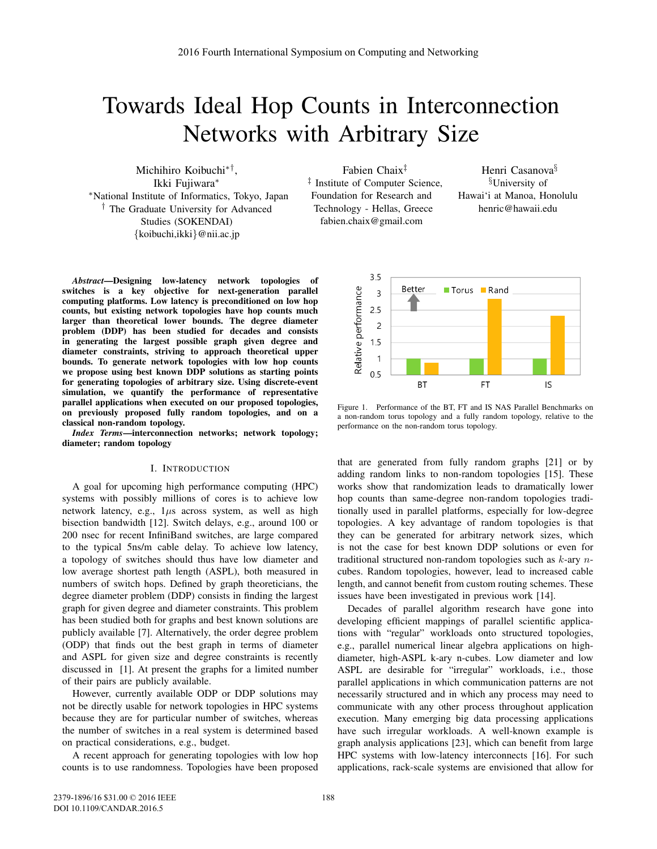# Towards Ideal Hop Counts in Interconnection Networks with Arbitrary Size

Michihiro Koibuchi∗†, Ikki Fujiwara∗ ∗National Institute of Informatics, Tokyo, Japan † The Graduate University for Advanced Studies (SOKENDAI) {koibuchi,ikki}@nii.ac.jp

Fabien Chaix‡ ‡ Institute of Computer Science, Foundation for Research and Technology - Hellas, Greece fabien.chaix@gmail.com

Henri Casanova§ §University of Hawai'i at Manoa, Honolulu henric@hawaii.edu



*Index Terms*—interconnection networks; network topology; diameter; random topology

#### I. INTRODUCTION

A goal for upcoming high performance computing (HPC) systems with possibly millions of cores is to achieve low network latency, e.g.,  $1\mu s$  across system, as well as high bisection bandwidth [12]. Switch delays, e.g., around 100 or 200 nsec for recent InfiniBand switches, are large compared to the typical 5ns/m cable delay. To achieve low latency, a topology of switches should thus have low diameter and low average shortest path length (ASPL), both measured in numbers of switch hops. Defined by graph theoreticians, the degree diameter problem (DDP) consists in finding the largest graph for given degree and diameter constraints. This problem has been studied both for graphs and best known solutions are publicly available [7]. Alternatively, the order degree problem (ODP) that finds out the best graph in terms of diameter and ASPL for given size and degree constraints is recently discussed in [1]. At present the graphs for a limited number of their pairs are publicly available.

However, currently available ODP or DDP solutions may not be directly usable for network topologies in HPC systems because they are for particular number of switches, whereas the number of switches in a real system is determined based on practical considerations, e.g., budget.

A recent approach for generating topologies with low hop counts is to use randomness. Topologies have been proposed



Figure 1. Performance of the BT, FT and IS NAS Parallel Benchmarks on a non-random torus topology and a fully random topology, relative to the performance on the non-random torus topology.

that are generated from fully random graphs [21] or by adding random links to non-random topologies [15]. These works show that randomization leads to dramatically lower hop counts than same-degree non-random topologies traditionally used in parallel platforms, especially for low-degree topologies. A key advantage of random topologies is that they can be generated for arbitrary network sizes, which is not the case for best known DDP solutions or even for traditional structured non-random topologies such as  $k$ -ary  $n$ cubes. Random topologies, however, lead to increased cable length, and cannot benefit from custom routing schemes. These issues have been investigated in previous work [14].

Decades of parallel algorithm research have gone into developing efficient mappings of parallel scientific applications with "regular" workloads onto structured topologies, e.g., parallel numerical linear algebra applications on highdiameter, high-ASPL k-ary n-cubes. Low diameter and low ASPL are desirable for "irregular" workloads, i.e., those parallel applications in which communication patterns are not necessarily structured and in which any process may need to communicate with any other process throughout application execution. Many emerging big data processing applications have such irregular workloads. A well-known example is graph analysis applications [23], which can benefit from large HPC systems with low-latency interconnects [16]. For such applications, rack-scale systems are envisioned that allow for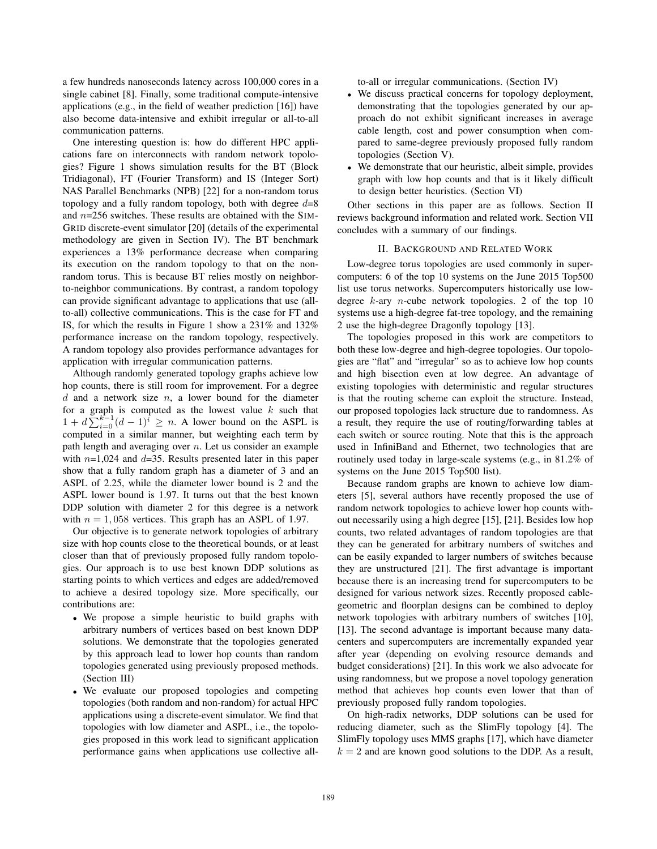a few hundreds nanoseconds latency across 100,000 cores in a single cabinet [8]. Finally, some traditional compute-intensive applications (e.g., in the field of weather prediction [16]) have also become data-intensive and exhibit irregular or all-to-all communication patterns.

One interesting question is: how do different HPC applications fare on interconnects with random network topologies? Figure 1 shows simulation results for the BT (Block Tridiagonal), FT (Fourier Transform) and IS (Integer Sort) NAS Parallel Benchmarks (NPB) [22] for a non-random torus topology and a fully random topology, both with degree  $d=8$ and  $n=256$  switches. These results are obtained with the SIM-GRID discrete-event simulator [20] (details of the experimental methodology are given in Section IV). The BT benchmark experiences a 13% performance decrease when comparing its execution on the random topology to that on the nonrandom torus. This is because BT relies mostly on neighborto-neighbor communications. By contrast, a random topology can provide significant advantage to applications that use (allto-all) collective communications. This is the case for FT and IS, for which the results in Figure 1 show a 231% and 132% performance increase on the random topology, respectively. A random topology also provides performance advantages for application with irregular communication patterns.

Although randomly generated topology graphs achieve low hop counts, there is still room for improvement. For a degree  $d$  and a network size  $n$ , a lower bound for the diameter for a graph is computed as the lowest value  $k$  such that  $1 + d \sum_{i=0}^{k-1} (d-1)^i \geq n$ . A lower bound on the ASPL is<br>computed in a similar manner but weighting each term by computed in a similar manner, but weighting each term by path length and averaging over  $n$ . Let us consider an example with  $n=1,024$  and  $d=35$ . Results presented later in this paper show that a fully random graph has a diameter of 3 and an ASPL of 2.25, while the diameter lower bound is 2 and the ASPL lower bound is 1.97. It turns out that the best known DDP solution with diameter 2 for this degree is a network with  $n = 1,058$  vertices. This graph has an ASPL of 1.97.

Our objective is to generate network topologies of arbitrary size with hop counts close to the theoretical bounds, or at least closer than that of previously proposed fully random topologies. Our approach is to use best known DDP solutions as starting points to which vertices and edges are added/removed to achieve a desired topology size. More specifically, our contributions are:

- We propose a simple heuristic to build graphs with arbitrary numbers of vertices based on best known DDP solutions. We demonstrate that the topologies generated by this approach lead to lower hop counts than random topologies generated using previously proposed methods. (Section III)
- We evaluate our proposed topologies and competing topologies (both random and non-random) for actual HPC applications using a discrete-event simulator. We find that topologies with low diameter and ASPL, i.e., the topologies proposed in this work lead to significant application performance gains when applications use collective all-

to-all or irregular communications. (Section IV)

- We discuss practical concerns for topology deployment, demonstrating that the topologies generated by our approach do not exhibit significant increases in average cable length, cost and power consumption when compared to same-degree previously proposed fully random topologies (Section V).
- We demonstrate that our heuristic, albeit simple, provides graph with low hop counts and that is it likely difficult to design better heuristics. (Section VI)

Other sections in this paper are as follows. Section II reviews background information and related work. Section VII concludes with a summary of our findings.

## II. BACKGROUND AND RELATED WORK

Low-degree torus topologies are used commonly in supercomputers: 6 of the top 10 systems on the June 2015 Top500 list use torus networks. Supercomputers historically use lowdegree  $k$ -ary *n*-cube network topologies. 2 of the top 10 systems use a high-degree fat-tree topology, and the remaining 2 use the high-degree Dragonfly topology [13].

The topologies proposed in this work are competitors to both these low-degree and high-degree topologies. Our topologies are "flat" and "irregular" so as to achieve low hop counts and high bisection even at low degree. An advantage of existing topologies with deterministic and regular structures is that the routing scheme can exploit the structure. Instead, our proposed topologies lack structure due to randomness. As a result, they require the use of routing/forwarding tables at each switch or source routing. Note that this is the approach used in InfiniBand and Ethernet, two technologies that are routinely used today in large-scale systems (e.g., in 81.2% of systems on the June 2015 Top500 list).

Because random graphs are known to achieve low diameters [5], several authors have recently proposed the use of random network topologies to achieve lower hop counts without necessarily using a high degree [15], [21]. Besides low hop counts, two related advantages of random topologies are that they can be generated for arbitrary numbers of switches and can be easily expanded to larger numbers of switches because they are unstructured [21]. The first advantage is important because there is an increasing trend for supercomputers to be designed for various network sizes. Recently proposed cablegeometric and floorplan designs can be combined to deploy network topologies with arbitrary numbers of switches [10], [13]. The second advantage is important because many datacenters and supercomputers are incrementally expanded year after year (depending on evolving resource demands and budget considerations) [21]. In this work we also advocate for using randomness, but we propose a novel topology generation method that achieves hop counts even lower that than of previously proposed fully random topologies.

On high-radix networks, DDP solutions can be used for reducing diameter, such as the SlimFly topology [4]. The SlimFly topology uses MMS graphs [17], which have diameter  $k = 2$  and are known good solutions to the DDP. As a result,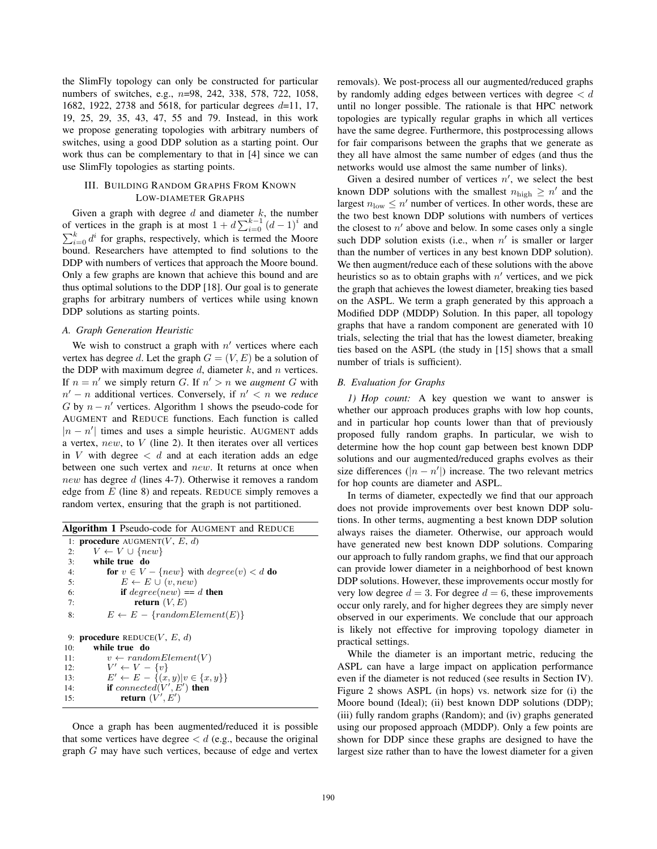the SlimFly topology can only be constructed for particular numbers of switches, e.g., n=98, 242, 338, 578, 722, 1058, 1682, 1922, 2738 and 5618, for particular degrees d=11, 17, 19, 25, 29, 35, 43, 47, 55 and 79. Instead, in this work we propose generating topologies with arbitrary numbers of switches, using a good DDP solution as a starting point. Our work thus can be complementary to that in [4] since we can use SlimFly topologies as starting points.

# III. BUILDING RANDOM GRAPHS FROM KNOWN LOW-DIAMETER GRAPHS

Given a graph with degree  $d$  and diameter  $k$ , the number of vertices in the graph is at most  $1 + d \sum_{i=0}^{k-1} (d-1)^i$  and  $\sum_{i=0}^{k} d^i$  for graphs, respectively, which is termed the Moore  $\sum_{i=0}^{k} d^{i}$  for graphs, respectively, which is termed the Moore<br>bound. Besearchers have attempted to find solutions to the bound. Researchers have attempted to find solutions to the DDP with numbers of vertices that approach the Moore bound. Only a few graphs are known that achieve this bound and are thus optimal solutions to the DDP [18]. Our goal is to generate graphs for arbitrary numbers of vertices while using known DDP solutions as starting points.

## *A. Graph Generation Heuristic*

We wish to construct a graph with  $n'$  vertices where each vertex has degree d. Let the graph  $G = (V, E)$  be a solution of the DDP with maximum degree  $d$ , diameter  $k$ , and  $n$  vertices. If  $n = n'$  we simply return G. If  $n' > n$  we *augment* G with  $n' - n$  additional vertices. Conversely, if  $n' < n$  we *reduce* G by  $n - n'$  vertices. Algorithm 1 shows the pseudo-code for AUGMENT and REDUCE functions. Each function is called  $|n - n'|$  times and uses a simple heuristic. AUGMENT adds a vertex, new, to V (line 2). It then iterates over all vertices in V with degree  $\langle d \rangle$  and at each iteration adds an edge between one such vertex and new. It returns at once when new has degree d (lines 4-7). Otherwise it removes a random edge from  $E$  (line 8) and repeats. REDUCE simply removes a random vertex, ensuring that the graph is not partitioned.

| <b>Algorithm 1 Pseudo-code for AUGMENT and REDUCE</b> |                                                 |  |
|-------------------------------------------------------|-------------------------------------------------|--|
|                                                       | 1: <b>procedure</b> AUGMENT(V, E, d)            |  |
| 2:                                                    | $V \leftarrow V \cup \{new\}$                   |  |
| 3:                                                    | while true do                                   |  |
| 4:                                                    | for $v \in V - \{new\}$ with $degree(v) < d$ do |  |
| 5:                                                    | $E \leftarrow E \cup (v, new)$                  |  |
| 6:                                                    | if $degree(new) == d$ then                      |  |
| 7:                                                    | return $(V, E)$                                 |  |
| 8:                                                    | $E \leftarrow E - \{randomElement(E)\}\$        |  |
|                                                       | 9: <b>procedure</b> REDUCE(V, E, d)             |  |
| 10:                                                   | while true -do                                  |  |
| 11:                                                   | $v \leftarrow randomElement(V)$                 |  |
| 12:                                                   | $V' \leftarrow V - \{v\}$                       |  |
| 13:                                                   | $E' \leftarrow E - \{(x, y) v \in \{x, y\}\}\$  |  |
| 14:                                                   | if connected( $V', E'$ ) then                   |  |
| 15:                                                   | return $(V', E')$                               |  |
|                                                       |                                                 |  |

Once a graph has been augmented/reduced it is possible that some vertices have degree  $d$  (e.g., because the original graph G may have such vertices, because of edge and vertex removals). We post-process all our augmented/reduced graphs by randomly adding edges between vertices with degree  $< d$ until no longer possible. The rationale is that HPC network topologies are typically regular graphs in which all vertices have the same degree. Furthermore, this postprocessing allows for fair comparisons between the graphs that we generate as they all have almost the same number of edges (and thus the networks would use almost the same number of links).

Given a desired number of vertices  $n'$ , we select the best known DDP solutions with the smallest  $n_{\text{high}} \geq n'$  and the largest  $n_{\text{low}} \leq n'$  number of vertices. In other words, these are the two best known DDP solutions with numbers of vertices the two best known DDP solutions with numbers of vertices the closest to  $n'$  above and below. In some cases only a single such DDP solution exists (i.e., when  $n'$  is smaller or larger than the number of vertices in any best known DDP solution). We then augment/reduce each of these solutions with the above heuristics so as to obtain graphs with  $n'$  vertices, and we pick the graph that achieves the lowest diameter, breaking ties based on the ASPL. We term a graph generated by this approach a Modified DDP (MDDP) Solution. In this paper, all topology graphs that have a random component are generated with 10 trials, selecting the trial that has the lowest diameter, breaking ties based on the ASPL (the study in [15] shows that a small number of trials is sufficient).

## *B. Evaluation for Graphs*

*1) Hop count:* A key question we want to answer is whether our approach produces graphs with low hop counts, and in particular hop counts lower than that of previously proposed fully random graphs. In particular, we wish to determine how the hop count gap between best known DDP solutions and our augmented/reduced graphs evolves as their size differences  $(|n - n'|)$  increase. The two relevant metrics for hop counts are diameter and ASPL.

In terms of diameter, expectedly we find that our approach does not provide improvements over best known DDP solutions. In other terms, augmenting a best known DDP solution always raises the diameter. Otherwise, our approach would have generated new best known DDP solutions. Comparing our approach to fully random graphs, we find that our approach can provide lower diameter in a neighborhood of best known DDP solutions. However, these improvements occur mostly for very low degree  $d = 3$ . For degree  $d = 6$ , these improvements occur only rarely, and for higher degrees they are simply never observed in our experiments. We conclude that our approach is likely not effective for improving topology diameter in practical settings.

While the diameter is an important metric, reducing the ASPL can have a large impact on application performance even if the diameter is not reduced (see results in Section IV). Figure 2 shows ASPL (in hops) vs. network size for (i) the Moore bound (Ideal); (ii) best known DDP solutions (DDP); (iii) fully random graphs (Random); and (iv) graphs generated using our proposed approach (MDDP). Only a few points are shown for DDP since these graphs are designed to have the largest size rather than to have the lowest diameter for a given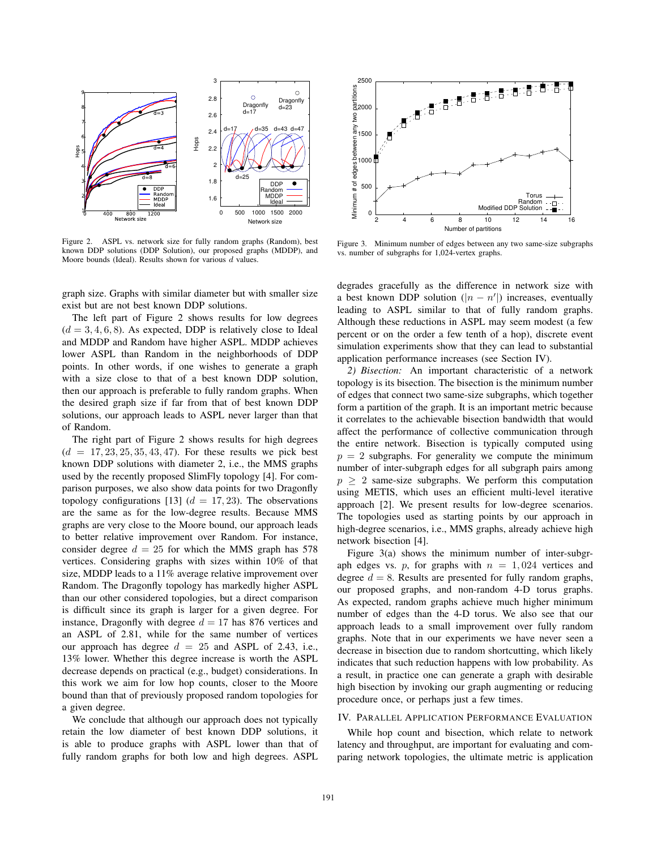

Figure 2. ASPL vs. network size for fully random graphs (Random), best known DDP solutions (DDP Solution), our proposed graphs (MDDP), and Moore bounds (Ideal). Results shown for various  $d$  values.

graph size. Graphs with similar diameter but with smaller size exist but are not best known DDP solutions.

The left part of Figure 2 shows results for low degrees  $(d = 3, 4, 6, 8)$ . As expected, DDP is relatively close to Ideal and MDDP and Random have higher ASPL. MDDP achieves lower ASPL than Random in the neighborhoods of DDP points. In other words, if one wishes to generate a graph with a size close to that of a best known DDP solution, then our approach is preferable to fully random graphs. When the desired graph size if far from that of best known DDP solutions, our approach leads to ASPL never larger than that of Random.

The right part of Figure 2 shows results for high degrees  $(d = 17, 23, 25, 35, 43, 47)$ . For these results we pick best known DDP solutions with diameter 2, i.e., the MMS graphs used by the recently proposed SlimFly topology [4]. For comparison purposes, we also show data points for two Dragonfly topology configurations [13]  $(d = 17, 23)$ . The observations are the same as for the low-degree results. Because MMS graphs are very close to the Moore bound, our approach leads to better relative improvement over Random. For instance, consider degree  $d = 25$  for which the MMS graph has 578 vertices. Considering graphs with sizes within 10% of that size, MDDP leads to a 11% average relative improvement over Random. The Dragonfly topology has markedly higher ASPL than our other considered topologies, but a direct comparison is difficult since its graph is larger for a given degree. For instance, Dragonfly with degree  $d = 17$  has 876 vertices and an ASPL of 2.81, while for the same number of vertices our approach has degree  $d = 25$  and ASPL of 2.43, i.e., 13% lower. Whether this degree increase is worth the ASPL decrease depends on practical (e.g., budget) considerations. In this work we aim for low hop counts, closer to the Moore bound than that of previously proposed random topologies for a given degree.

We conclude that although our approach does not typically retain the low diameter of best known DDP solutions, it is able to produce graphs with ASPL lower than that of fully random graphs for both low and high degrees. ASPL



Figure 3. Minimum number of edges between any two same-size subgraphs vs. number of subgraphs for 1,024-vertex graphs.

degrades gracefully as the difference in network size with a best known DDP solution  $(|n - n'|)$  increases, eventually leading to ASPL similar to that of fully random graphs. Although these reductions in ASPL may seem modest (a few percent or on the order a few tenth of a hop), discrete event simulation experiments show that they can lead to substantial application performance increases (see Section IV).

*2) Bisection:* An important characteristic of a network topology is its bisection. The bisection is the minimum number of edges that connect two same-size subgraphs, which together form a partition of the graph. It is an important metric because it correlates to the achievable bisection bandwidth that would affect the performance of collective communication through the entire network. Bisection is typically computed using  $p = 2$  subgraphs. For generality we compute the minimum number of inter-subgraph edges for all subgraph pairs among  $p \geq 2$  same-size subgraphs. We perform this computation using METIS, which uses an efficient multi-level iterative approach [2]. We present results for low-degree scenarios. The topologies used as starting points by our approach in high-degree scenarios, i.e., MMS graphs, already achieve high network bisection [4].

Figure 3(a) shows the minimum number of inter-subgraph edges vs. p, for graphs with  $n = 1,024$  vertices and degree  $d = 8$ . Results are presented for fully random graphs, our proposed graphs, and non-random 4-D torus graphs. As expected, random graphs achieve much higher minimum number of edges than the 4-D torus. We also see that our approach leads to a small improvement over fully random graphs. Note that in our experiments we have never seen a decrease in bisection due to random shortcutting, which likely indicates that such reduction happens with low probability. As a result, in practice one can generate a graph with desirable high bisection by invoking our graph augmenting or reducing procedure once, or perhaps just a few times.

# IV. PARALLEL APPLICATION PERFORMANCE EVALUATION

While hop count and bisection, which relate to network latency and throughput, are important for evaluating and comparing network topologies, the ultimate metric is application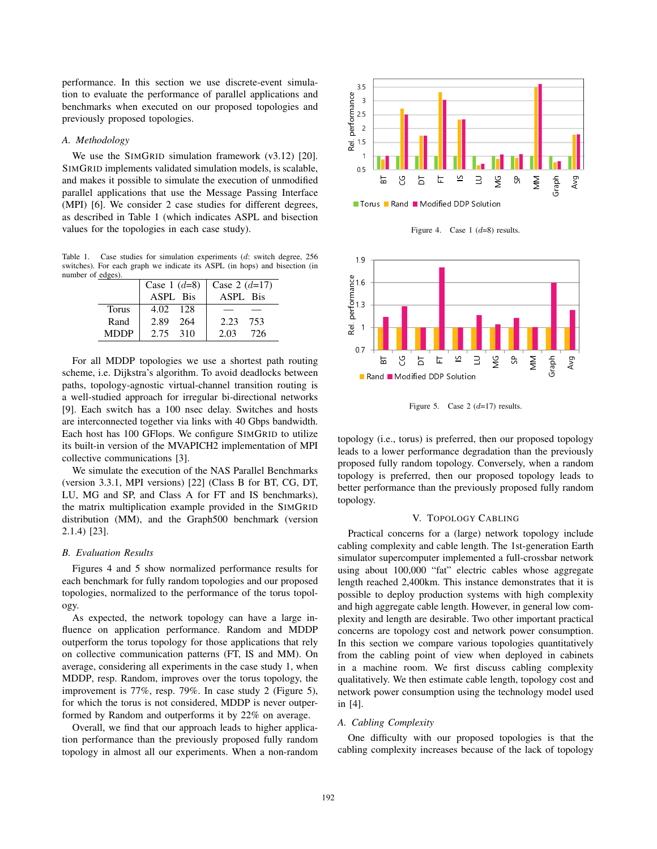performance. In this section we use discrete-event simulation to evaluate the performance of parallel applications and benchmarks when executed on our proposed topologies and previously proposed topologies.

# *A. Methodology*

We use the SIMGRID simulation framework (v3.12) [20]. SIMGRID implements validated simulation models, is scalable, and makes it possible to simulate the execution of unmodified parallel applications that use the Message Passing Interface (MPI) [6]. We consider 2 case studies for different degrees, as described in Table 1 (which indicates ASPL and bisection values for the topologies in each case study).

Table 1. Case studies for simulation experiments (d: switch degree, 256 switches). For each graph we indicate its ASPL (in hops) and bisection (in number of edges).

|              | Case 1 $(d=8)$ | Case 2 $(d=17)$ |
|--------------|----------------|-----------------|
|              | ASPL Bis       | ASPL Bis        |
| <b>Torus</b> | 4.02<br>-128   |                 |
| Rand         | 2.89<br>264    | 2.23<br>753     |
| <b>MDDP</b>  | 2.75 310       | 726<br>2.03     |

For all MDDP topologies we use a shortest path routing scheme, i.e. Dijkstra's algorithm. To avoid deadlocks between paths, topology-agnostic virtual-channel transition routing is a well-studied approach for irregular bi-directional networks [9]. Each switch has a 100 nsec delay. Switches and hosts are interconnected together via links with 40 Gbps bandwidth. Each host has 100 GFlops. We configure SIMGRID to utilize its built-in version of the MVAPICH2 implementation of MPI collective communications [3].

We simulate the execution of the NAS Parallel Benchmarks (version 3.3.1, MPI versions) [22] (Class B for BT, CG, DT, LU, MG and SP, and Class A for FT and IS benchmarks), the matrix multiplication example provided in the SIMGRID distribution (MM), and the Graph500 benchmark (version 2.1.4) [23].

#### *B. Evaluation Results*

Figures 4 and 5 show normalized performance results for each benchmark for fully random topologies and our proposed topologies, normalized to the performance of the torus topology.

As expected, the network topology can have a large influence on application performance. Random and MDDP outperform the torus topology for those applications that rely on collective communication patterns (FT, IS and MM). On average, considering all experiments in the case study 1, when MDDP, resp. Random, improves over the torus topology, the improvement is 77%, resp. 79%. In case study 2 (Figure 5), for which the torus is not considered, MDDP is never outperformed by Random and outperforms it by 22% on average.

Overall, we find that our approach leads to higher application performance than the previously proposed fully random topology in almost all our experiments. When a non-random



Figure 4. Case 1  $(d=8)$  results.



Figure 5. Case 2  $(d=17)$  results.

topology (i.e., torus) is preferred, then our proposed topology leads to a lower performance degradation than the previously proposed fully random topology. Conversely, when a random topology is preferred, then our proposed topology leads to better performance than the previously proposed fully random topology.

# V. TOPOLOGY CABLING

Practical concerns for a (large) network topology include cabling complexity and cable length. The 1st-generation Earth simulator supercomputer implemented a full-crossbar network using about 100,000 "fat" electric cables whose aggregate length reached 2,400km. This instance demonstrates that it is possible to deploy production systems with high complexity and high aggregate cable length. However, in general low complexity and length are desirable. Two other important practical concerns are topology cost and network power consumption. In this section we compare various topologies quantitatively from the cabling point of view when deployed in cabinets in a machine room. We first discuss cabling complexity qualitatively. We then estimate cable length, topology cost and network power consumption using the technology model used in [4].

#### *A. Cabling Complexity*

One difficulty with our proposed topologies is that the cabling complexity increases because of the lack of topology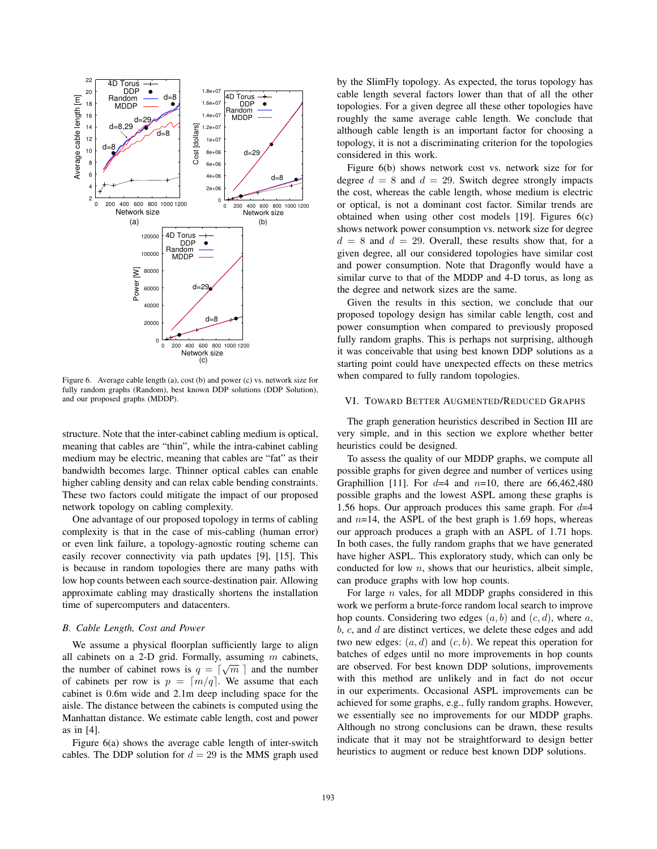

Figure 6. Average cable length (a), cost (b) and power (c) vs. network size for fully random graphs (Random), best known DDP solutions (DDP Solution), and our proposed graphs (MDDP).

structure. Note that the inter-cabinet cabling medium is optical, meaning that cables are "thin", while the intra-cabinet cabling medium may be electric, meaning that cables are "fat" as their bandwidth becomes large. Thinner optical cables can enable higher cabling density and can relax cable bending constraints. These two factors could mitigate the impact of our proposed network topology on cabling complexity.

One advantage of our proposed topology in terms of cabling complexity is that in the case of mis-cabling (human error) or even link failure, a topology-agnostic routing scheme can easily recover connectivity via path updates [9], [15]. This is because in random topologies there are many paths with low hop counts between each source-destination pair. Allowing approximate cabling may drastically shortens the installation time of supercomputers and datacenters.

#### *B. Cable Length, Cost and Power*

We assume a physical floorplan sufficiently large to align all cabinets on a 2-D grid. Formally, assuming  $m$  cabinets, the number of cabinet rows is  $q = \lceil \sqrt{m} \rceil$  and the number of cabinets per row is  $p = \lceil m/q \rceil$ . We assume that each cabinet is 0.6m wide and 2.1m deep including space for the aisle. The distance between the cabinets is computed using the Manhattan distance. We estimate cable length, cost and power as in [4].

Figure 6(a) shows the average cable length of inter-switch cables. The DDP solution for  $d = 29$  is the MMS graph used by the SlimFly topology. As expected, the torus topology has cable length several factors lower than that of all the other topologies. For a given degree all these other topologies have roughly the same average cable length. We conclude that although cable length is an important factor for choosing a topology, it is not a discriminating criterion for the topologies considered in this work.

Figure 6(b) shows network cost vs. network size for for degree  $d = 8$  and  $d = 29$ . Switch degree strongly impacts the cost, whereas the cable length, whose medium is electric or optical, is not a dominant cost factor. Similar trends are obtained when using other cost models [19]. Figures 6(c) shows network power consumption vs. network size for degree  $d = 8$  and  $d = 29$ . Overall, these results show that, for a given degree, all our considered topologies have similar cost and power consumption. Note that Dragonfly would have a similar curve to that of the MDDP and 4-D torus, as long as the degree and network sizes are the same.

Given the results in this section, we conclude that our proposed topology design has similar cable length, cost and power consumption when compared to previously proposed fully random graphs. This is perhaps not surprising, although it was conceivable that using best known DDP solutions as a starting point could have unexpected effects on these metrics when compared to fully random topologies.

# VI. TOWARD BETTER AUGMENTED/REDUCED GRAPHS

The graph generation heuristics described in Section III are very simple, and in this section we explore whether better heuristics could be designed.

To assess the quality of our MDDP graphs, we compute all possible graphs for given degree and number of vertices using Graphillion [11]. For  $d=4$  and  $n=10$ , there are 66,462,480 possible graphs and the lowest ASPL among these graphs is 1.56 hops. Our approach produces this same graph. For  $d=4$ and  $n=14$ , the ASPL of the best graph is 1.69 hops, whereas our approach produces a graph with an ASPL of 1.71 hops. In both cases, the fully random graphs that we have generated have higher ASPL. This exploratory study, which can only be conducted for low  $n$ , shows that our heuristics, albeit simple, can produce graphs with low hop counts.

For large  $n$  vales, for all MDDP graphs considered in this work we perform a brute-force random local search to improve hop counts. Considering two edges  $(a, b)$  and  $(c, d)$ , where a,  $b, c,$  and  $d$  are distinct vertices, we delete these edges and add two new edges:  $(a, d)$  and  $(c, b)$ . We repeat this operation for batches of edges until no more improvements in hop counts are observed. For best known DDP solutions, improvements with this method are unlikely and in fact do not occur in our experiments. Occasional ASPL improvements can be achieved for some graphs, e.g., fully random graphs. However, we essentially see no improvements for our MDDP graphs. Although no strong conclusions can be drawn, these results indicate that it may not be straightforward to design better heuristics to augment or reduce best known DDP solutions.